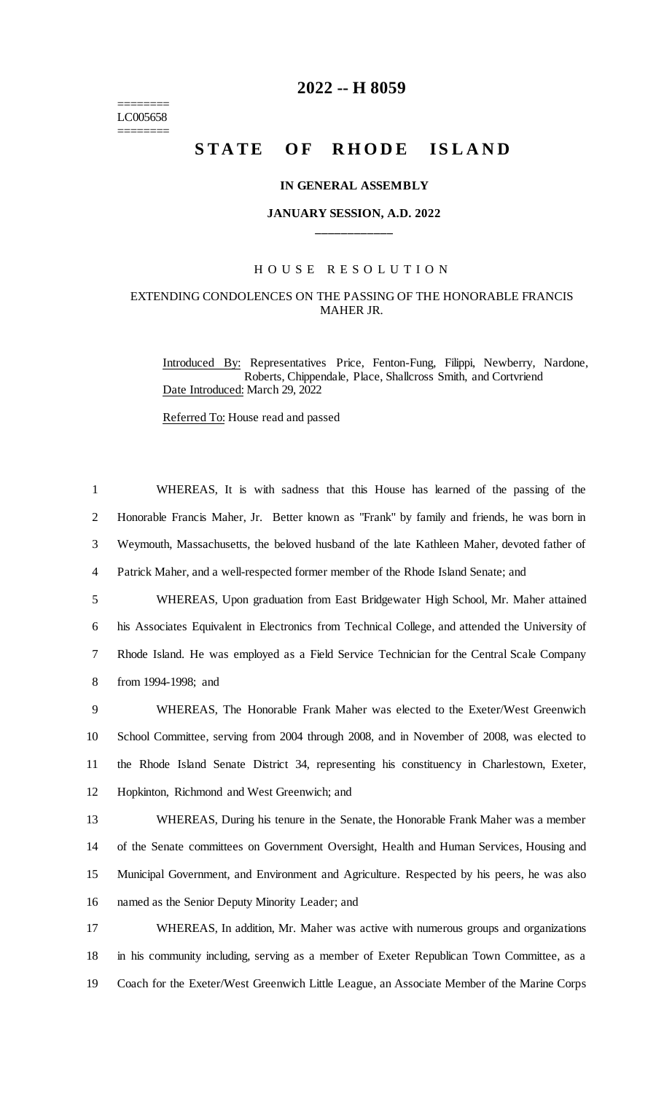======== LC005658 ========

## **2022 -- H 8059**

# STATE OF RHODE ISLAND

#### **IN GENERAL ASSEMBLY**

#### **JANUARY SESSION, A.D. 2022 \_\_\_\_\_\_\_\_\_\_\_\_**

### H O U S E R E S O L U T I O N

#### EXTENDING CONDOLENCES ON THE PASSING OF THE HONORABLE FRANCIS MAHER JR.

Introduced By: Representatives Price, Fenton-Fung, Filippi, Newberry, Nardone, Roberts, Chippendale, Place, Shallcross Smith, and Cortvriend Date Introduced: March 29, 2022

Referred To: House read and passed

| $\mathbf{1}$   | WHEREAS, It is with sadness that this House has learned of the passing of the                   |
|----------------|-------------------------------------------------------------------------------------------------|
| $\overline{2}$ | Honorable Francis Maher, Jr. Better known as "Frank" by family and friends, he was born in      |
| 3              | Weymouth, Massachusetts, the beloved husband of the late Kathleen Maher, devoted father of      |
| 4              | Patrick Maher, and a well-respected former member of the Rhode Island Senate; and               |
| 5              | WHEREAS, Upon graduation from East Bridgewater High School, Mr. Maher attained                  |
| 6              | his Associates Equivalent in Electronics from Technical College, and attended the University of |
| 7              | Rhode Island. He was employed as a Field Service Technician for the Central Scale Company       |
| 8              | from 1994-1998; and                                                                             |
| 9              | WHEREAS, The Honorable Frank Maher was elected to the Exeter/West Greenwich                     |
| 10             | School Committee, serving from 2004 through 2008, and in November of 2008, was elected to       |
| 11             | the Rhode Island Senate District 34, representing his constituency in Charlestown, Exeter,      |
| 12             | Hopkinton, Richmond and West Greenwich; and                                                     |
| 13             | WHEREAS, During his tenure in the Senate, the Honorable Frank Maher was a member                |
| 14             | of the Senate committees on Government Oversight, Health and Human Services, Housing and        |
| 15             | Municipal Government, and Environment and Agriculture. Respected by his peers, he was also      |
| 16             | named as the Senior Deputy Minority Leader; and                                                 |
| 17             | WHEREAS, In addition, Mr. Maher was active with numerous groups and organizations               |
| 18             | in his community including, serving as a member of Exeter Republican Town Committee, as a       |
| 19             | Coach for the Exeter/West Greenwich Little League, an Associate Member of the Marine Corps      |